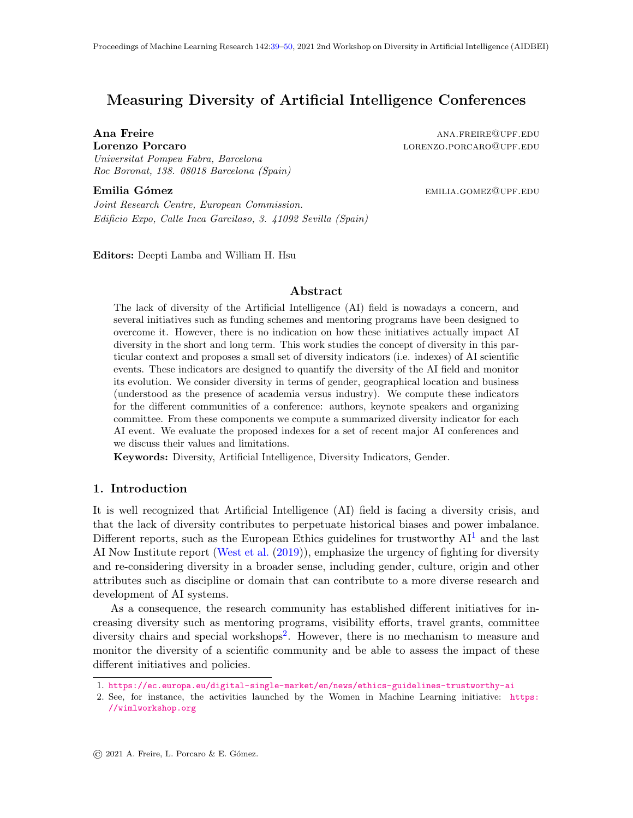# <span id="page-0-0"></span>Measuring Diversity of Artificial Intelligence Conferences

Ana Freire analysis and the settlement of the settlement of the settlement of the settlement of the settlement of the settlement of the settlement of the settlement of the settlement of the settlement of the settlement of **Lorenzo Porcaro and Alexandria Exercise Service EDU Alexandria Exercise Alexandria EDU Alexandria EDU Alexandria EDU** Universitat Pompeu Fabra, Barcelona Roc Boronat, 138. 08018 Barcelona (Spain)

**Emilia Gómez** emilia.gomez emilia.gomez@upf.edu

Joint Research Centre, European Commission. Edificio Expo, Calle Inca Garcilaso, 3. 41092 Sevilla (Spain)

Editors: Deepti Lamba and William H. Hsu

# Abstract

The lack of diversity of the Artificial Intelligence (AI) field is nowadays a concern, and several initiatives such as funding schemes and mentoring programs have been designed to overcome it. However, there is no indication on how these initiatives actually impact AI diversity in the short and long term. This work studies the concept of diversity in this particular context and proposes a small set of diversity indicators (i.e. indexes) of AI scientific events. These indicators are designed to quantify the diversity of the AI field and monitor its evolution. We consider diversity in terms of gender, geographical location and business (understood as the presence of academia versus industry). We compute these indicators for the different communities of a conference: authors, keynote speakers and organizing committee. From these components we compute a summarized diversity indicator for each AI event. We evaluate the proposed indexes for a set of recent major AI conferences and we discuss their values and limitations.

Keywords: Diversity, Artificial Intelligence, Diversity Indicators, Gender.

# 1. Introduction

It is well recognized that Artificial Intelligence (AI) field is facing a diversity crisis, and that the lack of diversity contributes to perpetuate historical biases and power imbalance. Different reports, such as the European Ethics guidelines for trustworthy  $AI<sup>1</sup>$  $AI<sup>1</sup>$  $AI<sup>1</sup>$  and the last AI Now Institute report [\(West et al.](#page-11-1) [\(2019\)](#page-11-1)), emphasize the urgency of fighting for diversity and re-considering diversity in a broader sense, including gender, culture, origin and other attributes such as discipline or domain that can contribute to a more diverse research and development of AI systems.

As a consequence, the research community has established different initiatives for increasing diversity such as mentoring programs, visibility efforts, travel grants, committee diversity chairs and special workshops<sup>[2](#page-0-2)</sup>. However, there is no mechanism to measure and monitor the diversity of a scientific community and be able to assess the impact of these different initiatives and policies.

<span id="page-0-1"></span><sup>1.</sup> <https://ec.europa.eu/digital-single-market/en/news/ethics-guidelines-trustworthy-ai>

<span id="page-0-2"></span><sup>2.</sup> See, for instance, the activities launched by the Women in Machine Learning initiative: [https:](https://wimlworkshop.org) [//wimlworkshop.org](https://wimlworkshop.org)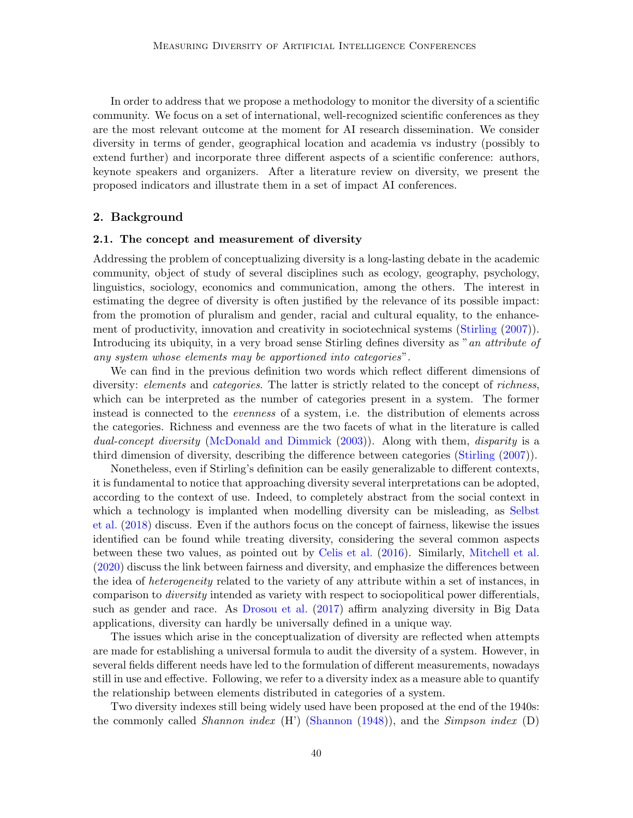In order to address that we propose a methodology to monitor the diversity of a scientific community. We focus on a set of international, well-recognized scientific conferences as they are the most relevant outcome at the moment for AI research dissemination. We consider diversity in terms of gender, geographical location and academia vs industry (possibly to extend further) and incorporate three different aspects of a scientific conference: authors, keynote speakers and organizers. After a literature review on diversity, we present the proposed indicators and illustrate them in a set of impact AI conferences.

### 2. Background

### 2.1. The concept and measurement of diversity

Addressing the problem of conceptualizing diversity is a long-lasting debate in the academic community, object of study of several disciplines such as ecology, geography, psychology, linguistics, sociology, economics and communication, among the others. The interest in estimating the degree of diversity is often justified by the relevance of its possible impact: from the promotion of pluralism and gender, racial and cultural equality, to the enhance-ment of productivity, innovation and creativity in sociotechnical systems [\(Stirling](#page-11-2)  $(2007)$ ). Introducing its ubiquity, in a very broad sense Stirling defines diversity as "an attribute of any system whose elements may be apportioned into categories".

We can find in the previous definition two words which reflect different dimensions of diversity: *elements* and *categories*. The latter is strictly related to the concept of *richness*, which can be interpreted as the number of categories present in a system. The former instead is connected to the evenness of a system, i.e. the distribution of elements across the categories. Richness and evenness are the two facets of what in the literature is called dual-concept diversity [\(McDonald and Dimmick](#page-10-0) [\(2003\)](#page-10-0)). Along with them, disparity is a third dimension of diversity, describing the difference between categories [\(Stirling](#page-11-2) [\(2007\)](#page-11-2)).

Nonetheless, even if Stirling's definition can be easily generalizable to different contexts, it is fundamental to notice that approaching diversity several interpretations can be adopted, according to the context of use. Indeed, to completely abstract from the social context in which a technology is implanted when modelling diversity can be misleading, as [Selbst](#page-11-3) [et al.](#page-11-3) [\(2018\)](#page-11-3) discuss. Even if the authors focus on the concept of fairness, likewise the issues identified can be found while treating diversity, considering the several common aspects between these two values, as pointed out by [Celis et al.](#page-10-1) [\(2016\)](#page-10-1). Similarly, [Mitchell et al.](#page-11-4) [\(2020\)](#page-11-4) discuss the link between fairness and diversity, and emphasize the differences between the idea of *heterogeneity* related to the variety of any attribute within a set of instances, in comparison to diversity intended as variety with respect to sociopolitical power differentials, such as gender and race. As [Drosou et al.](#page-10-2) [\(2017\)](#page-10-2) affirm analyzing diversity in Big Data applications, diversity can hardly be universally defined in a unique way.

The issues which arise in the conceptualization of diversity are reflected when attempts are made for establishing a universal formula to audit the diversity of a system. However, in several fields different needs have led to the formulation of different measurements, nowadays still in use and effective. Following, we refer to a diversity index as a measure able to quantify the relationship between elements distributed in categories of a system.

Two diversity indexes still being widely used have been proposed at the end of the 1940s: the commonly called *Shannon index* (H') [\(Shannon](#page-11-5)  $(1948)$ ), and the *Simpson index* (D)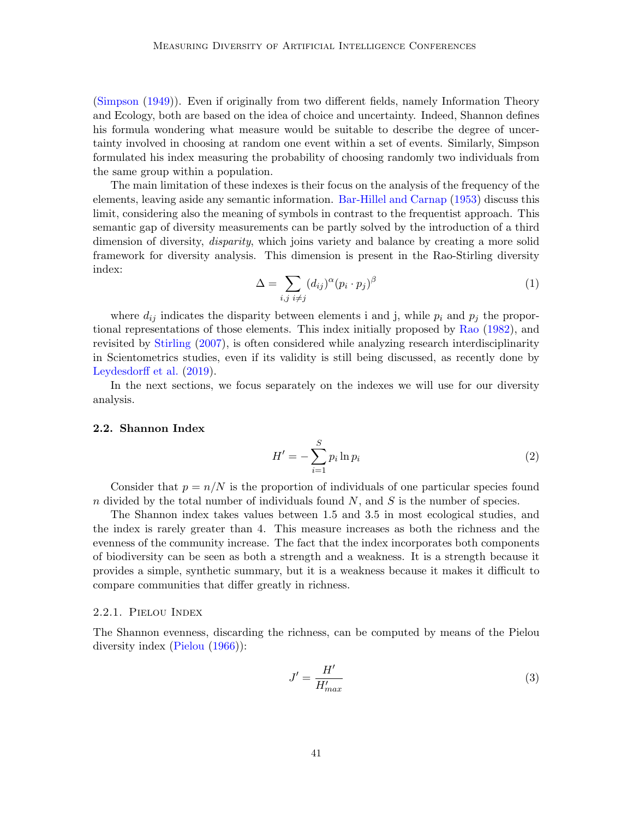[\(Simpson](#page-11-6) [\(1949\)](#page-11-6)). Even if originally from two different fields, namely Information Theory and Ecology, both are based on the idea of choice and uncertainty. Indeed, Shannon defines his formula wondering what measure would be suitable to describe the degree of uncertainty involved in choosing at random one event within a set of events. Similarly, Simpson formulated his index measuring the probability of choosing randomly two individuals from the same group within a population.

The main limitation of these indexes is their focus on the analysis of the frequency of the elements, leaving aside any semantic information. [Bar-Hillel and Carnap](#page-10-3) [\(1953\)](#page-10-3) discuss this limit, considering also the meaning of symbols in contrast to the frequentist approach. This semantic gap of diversity measurements can be partly solved by the introduction of a third dimension of diversity, *disparity*, which joins variety and balance by creating a more solid framework for diversity analysis. This dimension is present in the Rao-Stirling diversity index:

$$
\Delta = \sum_{i,j} (d_{ij})^{\alpha} (p_i \cdot p_j)^{\beta} \tag{1}
$$

where  $d_{ij}$  indicates the disparity between elements i and j, while  $p_i$  and  $p_j$  the proportional representations of those elements. This index initially proposed by [Rao](#page-11-7) [\(1982\)](#page-11-7), and revisited by [Stirling](#page-11-2) [\(2007\)](#page-11-2), is often considered while analyzing research interdisciplinarity in Scientometrics studies, even if its validity is still being discussed, as recently done by [Leydesdorff et al.](#page-10-4) [\(2019\)](#page-10-4).

In the next sections, we focus separately on the indexes we will use for our diversity analysis.

#### 2.2. Shannon Index

$$
H' = -\sum_{i=1}^{S} p_i \ln p_i \tag{2}
$$

Consider that  $p = n/N$  is the proportion of individuals of one particular species found n divided by the total number of individuals found  $N$ , and  $S$  is the number of species.

The Shannon index takes values between 1.5 and 3.5 in most ecological studies, and the index is rarely greater than 4. This measure increases as both the richness and the evenness of the community increase. The fact that the index incorporates both components of biodiversity can be seen as both a strength and a weakness. It is a strength because it provides a simple, synthetic summary, but it is a weakness because it makes it difficult to compare communities that differ greatly in richness.

#### 2.2.1. Pielou Index

The Shannon evenness, discarding the richness, can be computed by means of the Pielou diversity index [\(Pielou](#page-11-8) [\(1966\)](#page-11-8)):

<span id="page-2-0"></span>
$$
J' = \frac{H'}{H'_{max}}\tag{3}
$$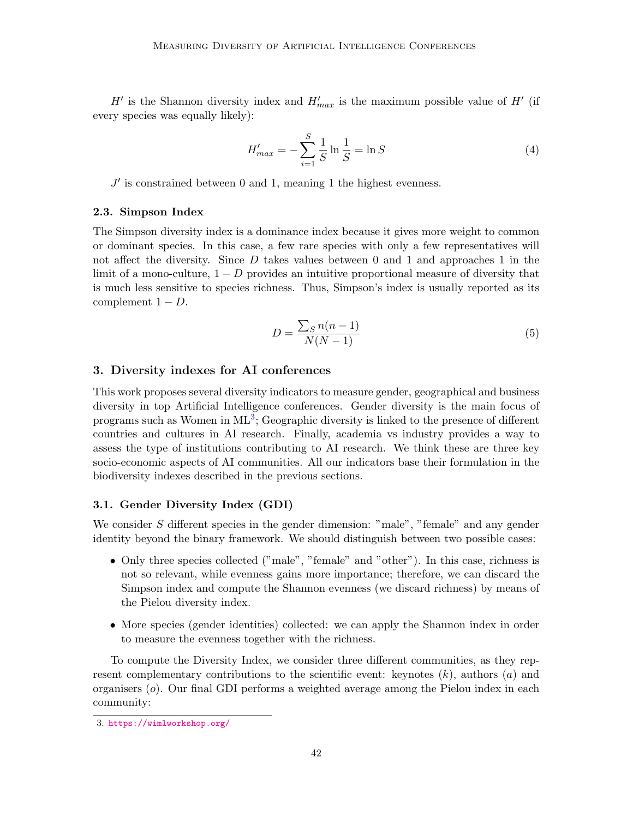$H'$  is the Shannon diversity index and  $H'_{max}$  is the maximum possible value of  $H'$  (if every species was equally likely):

$$
H'_{max} = -\sum_{i=1}^{S} \frac{1}{S} \ln \frac{1}{S} = \ln S \tag{4}
$$

 $J'$  is constrained between 0 and 1, meaning 1 the highest evenness.

#### 2.3. Simpson Index

The Simpson diversity index is a dominance index because it gives more weight to common or dominant species. In this case, a few rare species with only a few representatives will not affect the diversity. Since  $D$  takes values between 0 and 1 and approaches 1 in the limit of a mono-culture,  $1 - D$  provides an intuitive proportional measure of diversity that is much less sensitive to species richness. Thus, Simpson's index is usually reported as its complement  $1 - D$ .

$$
D = \frac{\sum_{S} n(n-1)}{N(N-1)}\tag{5}
$$

# 3. Diversity indexes for AI conferences

This work proposes several diversity indicators to measure gender, geographical and business diversity in top Artificial Intelligence conferences. Gender diversity is the main focus of programs such as Women in ML<sup>[3](#page-3-0)</sup>; Geographic diversity is linked to the presence of different countries and cultures in AI research. Finally, academia vs industry provides a way to assess the type of institutions contributing to AI research. We think these are three key socio-economic aspects of AI communities. All our indicators base their formulation in the biodiversity indexes described in the previous sections.

# 3.1. Gender Diversity Index (GDI)

We consider S different species in the gender dimension: "male", "female" and any gender identity beyond the binary framework. We should distinguish between two possible cases:

- Only three species collected ("male", "female" and "other"). In this case, richness is not so relevant, while evenness gains more importance; therefore, we can discard the Simpson index and compute the Shannon evenness (we discard richness) by means of the Pielou diversity index.
- More species (gender identities) collected: we can apply the Shannon index in order to measure the evenness together with the richness.

To compute the Diversity Index, we consider three different communities, as they represent complementary contributions to the scientific event: keynotes  $(k)$ , authors  $(a)$  and organisers  $(o)$ . Our final GDI performs a weighted average among the Pielou index in each community:

<span id="page-3-0"></span><sup>3.</sup> <https://wimlworkshop.org/>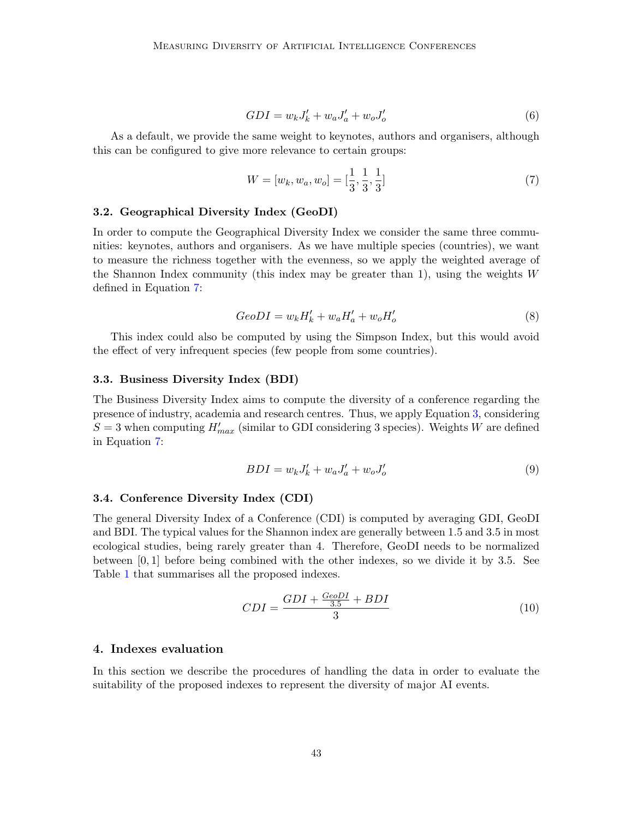$$
GDI = w_k J'_k + w_a J'_a + w_o J'_o \tag{6}
$$

As a default, we provide the same weight to keynotes, authors and organisers, although this can be configured to give more relevance to certain groups:

<span id="page-4-0"></span>
$$
W = [w_k, w_a, w_o] = [\frac{1}{3}, \frac{1}{3}, \frac{1}{3}]
$$
\n(7)

#### 3.2. Geographical Diversity Index (GeoDI)

In order to compute the Geographical Diversity Index we consider the same three communities: keynotes, authors and organisers. As we have multiple species (countries), we want to measure the richness together with the evenness, so we apply the weighted average of the Shannon Index community (this index may be greater than 1), using the weights  $W$ defined in Equation [7:](#page-4-0)

$$
GeoDI = w_k H'_k + w_a H'_a + w_o H'_o \tag{8}
$$

This index could also be computed by using the Simpson Index, but this would avoid the effect of very infrequent species (few people from some countries).

# 3.3. Business Diversity Index (BDI)

The Business Diversity Index aims to compute the diversity of a conference regarding the presence of industry, academia and research centres. Thus, we apply Equation [3,](#page-2-0) considering  $S = 3$  when computing  $H'_{max}$  (similar to GDI considering 3 species). Weights W are defined in Equation [7:](#page-4-0)

$$
BDI = w_k J'_k + w_a J'_a + w_o J'_o \tag{9}
$$

#### 3.4. Conference Diversity Index (CDI)

The general Diversity Index of a Conference (CDI) is computed by averaging GDI, GeoDI and BDI. The typical values for the Shannon index are generally between 1.5 and 3.5 in most ecological studies, being rarely greater than 4. Therefore, GeoDI needs to be normalized between [0, 1] before being combined with the other indexes, so we divide it by 3.5. See Table [1](#page-5-0) that summarises all the proposed indexes.

$$
CDI = \frac{GDI + \frac{GeoDI}{3.5} + BDI}{3}
$$
\n
$$
(10)
$$

# 4. Indexes evaluation

In this section we describe the procedures of handling the data in order to evaluate the suitability of the proposed indexes to represent the diversity of major AI events.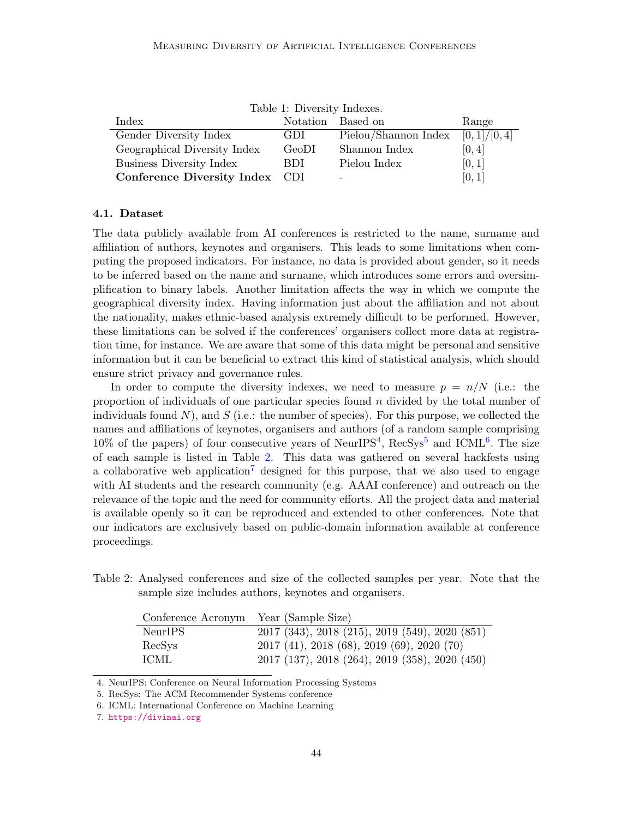<span id="page-5-0"></span>

| Table 1: Diversity Indexes.    |          |                      |             |  |  |  |  |  |
|--------------------------------|----------|----------------------|-------------|--|--|--|--|--|
| Index                          | Notation | Based on             | Range       |  |  |  |  |  |
| Gender Diversity Index         | GDI.     | Pielou/Shannon Index | [0,1]/[0,4] |  |  |  |  |  |
| Geographical Diversity Index   | GeoDI    | Shannon Index        | [0, 4]      |  |  |  |  |  |
| Business Diversity Index       | BDI.     | Pielou Index         | [0,1]       |  |  |  |  |  |
| Conference Diversity Index CDI |          | -                    | [0, 1]      |  |  |  |  |  |

#### 4.1. Dataset

The data publicly available from AI conferences is restricted to the name, surname and affiliation of authors, keynotes and organisers. This leads to some limitations when computing the proposed indicators. For instance, no data is provided about gender, so it needs to be inferred based on the name and surname, which introduces some errors and oversimplification to binary labels. Another limitation affects the way in which we compute the geographical diversity index. Having information just about the affiliation and not about the nationality, makes ethnic-based analysis extremely difficult to be performed. However, these limitations can be solved if the conferences' organisers collect more data at registration time, for instance. We are aware that some of this data might be personal and sensitive information but it can be beneficial to extract this kind of statistical analysis, which should ensure strict privacy and governance rules.

In order to compute the diversity indexes, we need to measure  $p = n/N$  (i.e.: the proportion of individuals of one particular species found n divided by the total number of individuals found N), and S (i.e.: the number of species). For this purpose, we collected the names and affiliations of keynotes, organisers and authors (of a random sample comprising  $10\%$  of the papers) of four consecutive years of NeurIPS<sup>[4](#page-5-1)</sup>, RecSys<sup>[5](#page-5-2)</sup> and ICML<sup>[6](#page-5-3)</sup>. The size of each sample is listed in Table [2.](#page-5-4) This data was gathered on several hackfests using a collaborative web application<sup>[7](#page-5-5)</sup> designed for this purpose, that we also used to engage with AI students and the research community (e.g. AAAI conference) and outreach on the relevance of the topic and the need for community efforts. All the project data and material is available openly so it can be reproduced and extended to other conferences. Note that our indicators are exclusively based on public-domain information available at conference proceedings.

<span id="page-5-4"></span>Table 2: Analysed conferences and size of the collected samples per year. Note that the sample size includes authors, keynotes and organisers.

| Conference Acronym Year (Sample Size) |                                                    |
|---------------------------------------|----------------------------------------------------|
| NeurIPS                               | 2017 (343), 2018 (215), 2019 (549), 2020 (851)     |
| RecSys                                | $2017$ (41), $2018$ (68), $2019$ (69), $2020$ (70) |
| ICML                                  | 2017 (137), 2018 (264), 2019 (358), 2020 (450)     |

<span id="page-5-1"></span>4. NeurIPS: Conference on Neural Information Processing Systems

<span id="page-5-2"></span>5. RecSys: The ACM Recommender Systems conference

<span id="page-5-3"></span><sup>6.</sup> ICML: International Conference on Machine Learning

<span id="page-5-5"></span><sup>7.</sup> <https://divinai.org>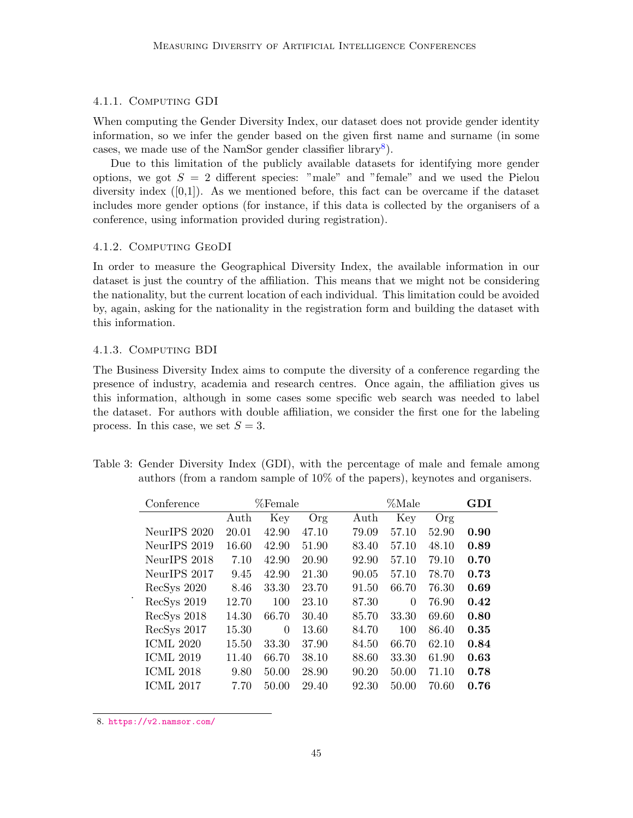# 4.1.1. Computing GDI

When computing the Gender Diversity Index, our dataset does not provide gender identity information, so we infer the gender based on the given first name and surname (in some cases, we made use of the NamSor gender classifier library<sup>[8](#page-6-0)</sup>).

Due to this limitation of the publicly available datasets for identifying more gender options, we got  $S = 2$  different species: "male" and "female" and we used the Pielou diversity index  $([0,1])$ . As we mentioned before, this fact can be overcame if the dataset includes more gender options (for instance, if this data is collected by the organisers of a conference, using information provided during registration).

# 4.1.2. COMPUTING GEODI

In order to measure the Geographical Diversity Index, the available information in our dataset is just the country of the affiliation. This means that we might not be considering the nationality, but the current location of each individual. This limitation could be avoided by, again, asking for the nationality in the registration form and building the dataset with this information.

### 4.1.3. Computing BDI

The Business Diversity Index aims to compute the diversity of a conference regarding the presence of industry, academia and research centres. Once again, the affiliation gives us this information, although in some cases some specific web search was needed to label the dataset. For authors with double affiliation, we consider the first one for the labeling process. In this case, we set  $S = 3$ .

| Conference       |       | %Female  |       |       | %Male |       |      |  |  |
|------------------|-------|----------|-------|-------|-------|-------|------|--|--|
|                  | Auth  | Key      | Org   | Auth  | Key   | Org   |      |  |  |
| NeurIPS 2020     | 20.01 | 42.90    | 47.10 | 79.09 | 57.10 | 52.90 | 0.90 |  |  |
| NeurIPS 2019     | 16.60 | 42.90    | 51.90 | 83.40 | 57.10 | 48.10 | 0.89 |  |  |
| NeurIPS 2018     | 7.10  | 42.90    | 20.90 | 92.90 | 57.10 | 79.10 | 0.70 |  |  |
| NeurIPS 2017     | 9.45  | 42.90    | 21.30 | 90.05 | 57.10 | 78.70 | 0.73 |  |  |
| RecSys 2020      | 8.46  | 33.30    | 23.70 | 91.50 | 66.70 | 76.30 | 0.69 |  |  |
| RecSys 2019      | 12.70 | 100      | 23.10 | 87.30 | 0     | 76.90 | 0.42 |  |  |
| RecSys 2018      | 14.30 | 66.70    | 30.40 | 85.70 | 33.30 | 69.60 | 0.80 |  |  |
| RecSys 2017      | 15.30 | $\theta$ | 13.60 | 84.70 | 100   | 86.40 | 0.35 |  |  |
| <b>ICML 2020</b> | 15.50 | 33.30    | 37.90 | 84.50 | 66.70 | 62.10 | 0.84 |  |  |
| <b>ICML 2019</b> | 11.40 | 66.70    | 38.10 | 88.60 | 33.30 | 61.90 | 0.63 |  |  |
| <b>ICML 2018</b> | 9.80  | 50.00    | 28.90 | 90.20 | 50.00 | 71.10 | 0.78 |  |  |
| <b>ICML 2017</b> | 7.70  | 50.00    | 29.40 | 92.30 | 50.00 | 70.60 | 0.76 |  |  |

<span id="page-6-1"></span>Table 3: Gender Diversity Index (GDI), with the percentage of male and female among authors (from a random sample of 10% of the papers), keynotes and organisers.

<span id="page-6-0"></span><sup>8.</sup> <https://v2.namsor.com/>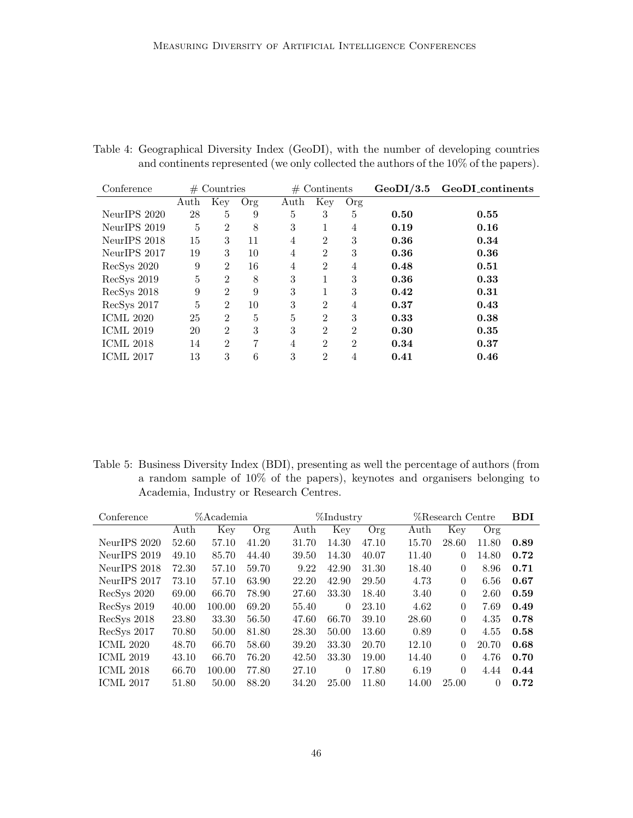<span id="page-7-0"></span>

| Table 4: Geographical Diversity Index (GeoDI), with the number of developing countries |  |  |  |  |
|----------------------------------------------------------------------------------------|--|--|--|--|
| and continents represented (we only collected the authors of the 10% of the papers).   |  |  |  |  |

| Conference       | $#$ Countries |                |     |      | $#$ Continents |                | $\mathrm{GeoDI}/3.5$ | GeoDI_continents |
|------------------|---------------|----------------|-----|------|----------------|----------------|----------------------|------------------|
|                  | Auth          | Key            | Org | Auth | Key<br>Org     |                |                      |                  |
| NeurIPS 2020     | 28            | 5              | 9   | 5    | 3              | 5              | 0.50                 | 0.55             |
| NeurIPS 2019     | 5             | $\overline{2}$ | 8   | 3    |                | 4              | 0.19                 | 0.16             |
| NeurIPS 2018     | 15            | 3              | 11  | 4    | $\overline{2}$ | 3              | 0.36                 | 0.34             |
| NeurIPS 2017     | 19            | 3              | 10  | 4    | 2              | 3              | 0.36                 | 0.36             |
| RecSys 2020      | 9             | $\overline{2}$ | 16  | 4    | $\overline{2}$ | 4              | 0.48                 | 0.51             |
| RecSys 2019      | 5             | $\overline{2}$ | 8   | 3    |                | 3              | 0.36                 | 0.33             |
| RecSys 2018      | 9             | $\overline{2}$ | 9   | 3    |                | 3              | 0.42                 | 0.31             |
| RecSys 2017      | 5             | $\overline{2}$ | 10  | 3    | $\mathfrak{D}$ | 4              | 0.37                 | 0.43             |
| <b>ICML 2020</b> | 25            | $\overline{2}$ | 5   | 5    | $\overline{2}$ | 3              | 0.33                 | 0.38             |
| <b>ICML 2019</b> | 20            | $\overline{2}$ | 3   | 3    | $\overline{2}$ | $\overline{2}$ | 0.30                 | 0.35             |
| <b>ICML 2018</b> | 14            | $\overline{2}$ | 7   | 4    | $\mathfrak{D}$ | $\overline{2}$ | 0.34                 | 0.37             |
| <b>ICML 2017</b> | 13            | 3              | 6   | 3    | 2              | 4              | 0.41                 | 0.46             |
|                  |               |                |     |      |                |                |                      |                  |

<span id="page-7-1"></span>Table 5: Business Diversity Index (BDI), presenting as well the percentage of authors (from a random sample of 10% of the papers), keynotes and organisers belonging to Academia, Industry or Research Centres.

| Conference       |       | %Academia |       |       | %Industry |       |       | %Research Centre |          |      |
|------------------|-------|-----------|-------|-------|-----------|-------|-------|------------------|----------|------|
|                  | Auth  | Key       | Org   | Auth  | Key       | Org   | Auth  | Key              | Org      |      |
| NeurIPS 2020     | 52.60 | 57.10     | 41.20 | 31.70 | 14.30     | 47.10 | 15.70 | 28.60            | 11.80    | 0.89 |
| NeurIPS 2019     | 49.10 | 85.70     | 44.40 | 39.50 | 14.30     | 40.07 | 11.40 | $\Omega$         | 14.80    | 0.72 |
| NeurIPS 2018     | 72.30 | 57.10     | 59.70 | 9.22  | 42.90     | 31.30 | 18.40 | $\Omega$         | 8.96     | 0.71 |
| NeurIPS 2017     | 73.10 | 57.10     | 63.90 | 22.20 | 42.90     | 29.50 | 4.73  | $\Omega$         | 6.56     | 0.67 |
| RecSys 2020      | 69.00 | 66.70     | 78.90 | 27.60 | 33.30     | 18.40 | 3.40  | $\Omega$         | 2.60     | 0.59 |
| RecSys 2019      | 40.00 | 100.00    | 69.20 | 55.40 | $\theta$  | 23.10 | 4.62  | $\Omega$         | 7.69     | 0.49 |
| RecSys 2018      | 23.80 | 33.30     | 56.50 | 47.60 | 66.70     | 39.10 | 28.60 | $\Omega$         | 4.35     | 0.78 |
| RecSys 2017      | 70.80 | 50.00     | 81.80 | 28.30 | 50.00     | 13.60 | 0.89  | $\Omega$         | 4.55     | 0.58 |
| ICML 2020        | 48.70 | 66.70     | 58.60 | 39.20 | 33.30     | 20.70 | 12.10 | $\Omega$         | 20.70    | 0.68 |
| <b>ICML 2019</b> | 43.10 | 66.70     | 76.20 | 42.50 | 33.30     | 19.00 | 14.40 | $\Omega$         | 4.76     | 0.70 |
| ICML 2018        | 66.70 | 100.00    | 77.80 | 27.10 | $\theta$  | 17.80 | 6.19  | $\Omega$         | 4.44     | 0.44 |
| ICML 2017        | 51.80 | 50.00     | 88.20 | 34.20 | 25.00     | 11.80 | 14.00 | 25.00            | $\Omega$ | 0.72 |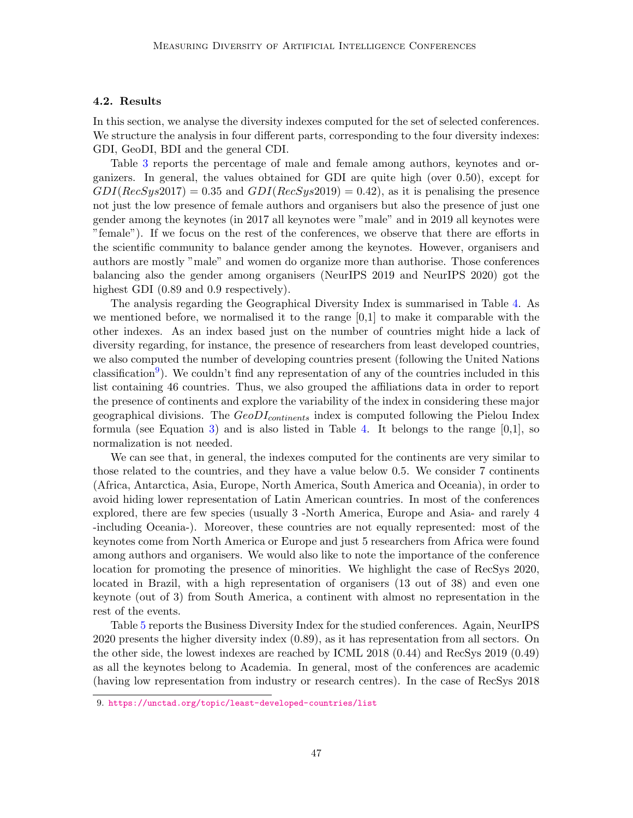# 4.2. Results

In this section, we analyse the diversity indexes computed for the set of selected conferences. We structure the analysis in four different parts, corresponding to the four diversity indexes: GDI, GeoDI, BDI and the general CDI.

Table [3](#page-6-1) reports the percentage of male and female among authors, keynotes and organizers. In general, the values obtained for GDI are quite high (over 0.50), except for  $GDI(RecSys2017) = 0.35$  and  $GDI(RecSys2019) = 0.42$ , as it is penalising the presence not just the low presence of female authors and organisers but also the presence of just one gender among the keynotes (in 2017 all keynotes were "male" and in 2019 all keynotes were "female"). If we focus on the rest of the conferences, we observe that there are efforts in the scientific community to balance gender among the keynotes. However, organisers and authors are mostly "male" and women do organize more than authorise. Those conferences balancing also the gender among organisers (NeurIPS 2019 and NeurIPS 2020) got the highest GDI  $(0.89 \text{ and } 0.9 \text{ respectively}).$ 

The analysis regarding the Geographical Diversity Index is summarised in Table [4.](#page-7-0) As we mentioned before, we normalised it to the range  $[0,1]$  to make it comparable with the other indexes. As an index based just on the number of countries might hide a lack of diversity regarding, for instance, the presence of researchers from least developed countries, we also computed the number of developing countries present (following the United Nations classification<sup>[9](#page-8-0)</sup>). We couldn't find any representation of any of the countries included in this list containing 46 countries. Thus, we also grouped the affiliations data in order to report the presence of continents and explore the variability of the index in considering these major geographical divisions. The  $GeoDI_{continents}$  index is computed following the Pielou Index formula (see Equation [3\)](#page-2-0) and is also listed in Table [4.](#page-7-0) It belongs to the range  $[0,1]$ , so normalization is not needed.

We can see that, in general, the indexes computed for the continents are very similar to those related to the countries, and they have a value below 0.5. We consider 7 continents (Africa, Antarctica, Asia, Europe, North America, South America and Oceania), in order to avoid hiding lower representation of Latin American countries. In most of the conferences explored, there are few species (usually 3 -North America, Europe and Asia- and rarely 4 -including Oceania-). Moreover, these countries are not equally represented: most of the keynotes come from North America or Europe and just 5 researchers from Africa were found among authors and organisers. We would also like to note the importance of the conference location for promoting the presence of minorities. We highlight the case of RecSys 2020, located in Brazil, with a high representation of organisers (13 out of 38) and even one keynote (out of 3) from South America, a continent with almost no representation in the rest of the events.

Table [5](#page-7-1) reports the Business Diversity Index for the studied conferences. Again, NeurIPS 2020 presents the higher diversity index (0.89), as it has representation from all sectors. On the other side, the lowest indexes are reached by ICML 2018 (0.44) and RecSys 2019 (0.49) as all the keynotes belong to Academia. In general, most of the conferences are academic (having low representation from industry or research centres). In the case of RecSys 2018

<span id="page-8-0"></span><sup>9.</sup> <https://unctad.org/topic/least-developed-countries/list>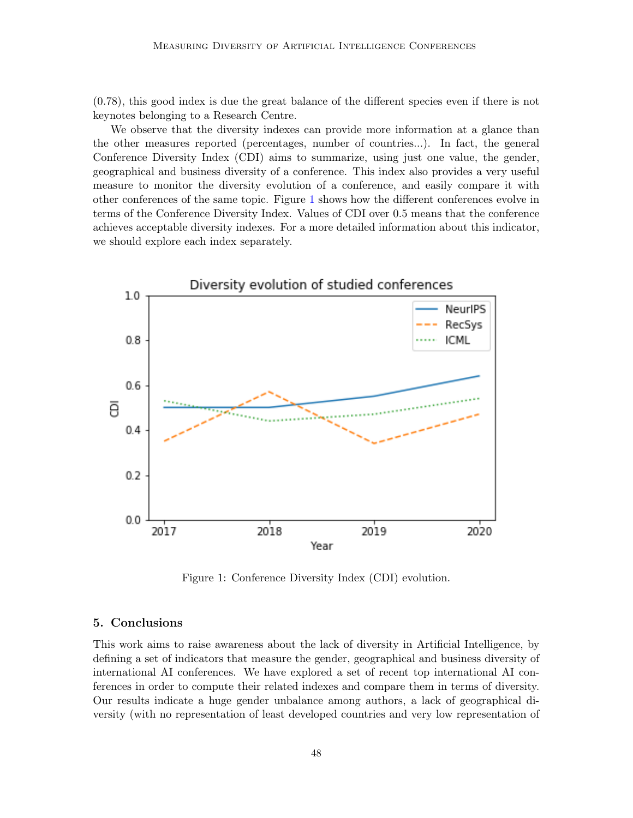(0.78), this good index is due the great balance of the different species even if there is not keynotes belonging to a Research Centre.

We observe that the diversity indexes can provide more information at a glance than the other measures reported (percentages, number of countries...). In fact, the general Conference Diversity Index (CDI) aims to summarize, using just one value, the gender, geographical and business diversity of a conference. This index also provides a very useful measure to monitor the diversity evolution of a conference, and easily compare it with other conferences of the same topic. Figure [1](#page-9-0) shows how the different conferences evolve in terms of the Conference Diversity Index. Values of CDI over 0.5 means that the conference achieves acceptable diversity indexes. For a more detailed information about this indicator, we should explore each index separately.



<span id="page-9-0"></span>Figure 1: Conference Diversity Index (CDI) evolution.

#### 5. Conclusions

This work aims to raise awareness about the lack of diversity in Artificial Intelligence, by defining a set of indicators that measure the gender, geographical and business diversity of international AI conferences. We have explored a set of recent top international AI conferences in order to compute their related indexes and compare them in terms of diversity. Our results indicate a huge gender unbalance among authors, a lack of geographical diversity (with no representation of least developed countries and very low representation of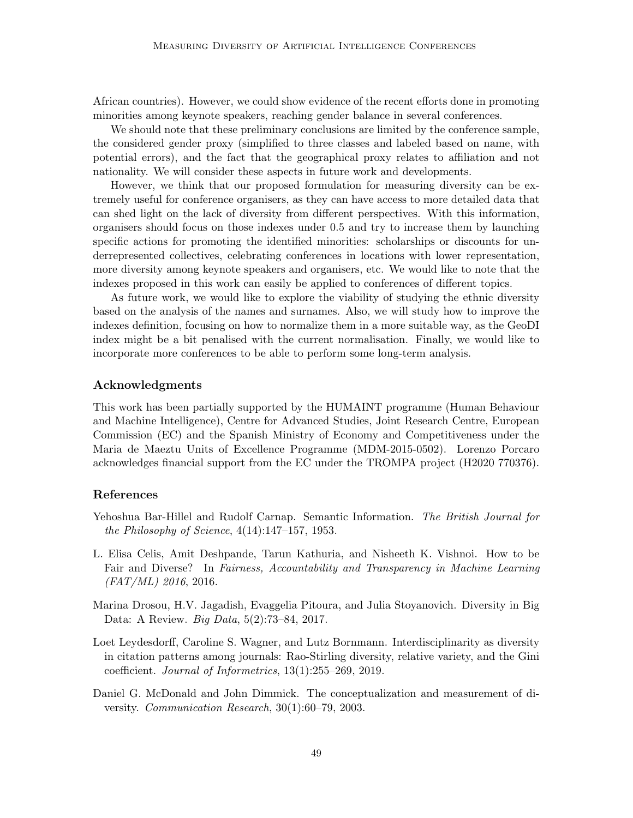African countries). However, we could show evidence of the recent efforts done in promoting minorities among keynote speakers, reaching gender balance in several conferences.

We should note that these preliminary conclusions are limited by the conference sample, the considered gender proxy (simplified to three classes and labeled based on name, with potential errors), and the fact that the geographical proxy relates to affiliation and not nationality. We will consider these aspects in future work and developments.

However, we think that our proposed formulation for measuring diversity can be extremely useful for conference organisers, as they can have access to more detailed data that can shed light on the lack of diversity from different perspectives. With this information, organisers should focus on those indexes under 0.5 and try to increase them by launching specific actions for promoting the identified minorities: scholarships or discounts for underrepresented collectives, celebrating conferences in locations with lower representation, more diversity among keynote speakers and organisers, etc. We would like to note that the indexes proposed in this work can easily be applied to conferences of different topics.

As future work, we would like to explore the viability of studying the ethnic diversity based on the analysis of the names and surnames. Also, we will study how to improve the indexes definition, focusing on how to normalize them in a more suitable way, as the GeoDI index might be a bit penalised with the current normalisation. Finally, we would like to incorporate more conferences to be able to perform some long-term analysis.

# Acknowledgments

This work has been partially supported by the HUMAINT programme (Human Behaviour and Machine Intelligence), Centre for Advanced Studies, Joint Research Centre, European Commission (EC) and the Spanish Ministry of Economy and Competitiveness under the Maria de Maeztu Units of Excellence Programme (MDM-2015-0502). Lorenzo Porcaro acknowledges financial support from the EC under the TROMPA project (H2020 770376).

# References

- <span id="page-10-3"></span>Yehoshua Bar-Hillel and Rudolf Carnap. Semantic Information. The British Journal for the Philosophy of Science,  $4(14):147-157$ , 1953.
- <span id="page-10-1"></span>L. Elisa Celis, Amit Deshpande, Tarun Kathuria, and Nisheeth K. Vishnoi. How to be Fair and Diverse? In Fairness, Accountability and Transparency in Machine Learning  $(FAT/ML)$  2016, 2016.
- <span id="page-10-2"></span>Marina Drosou, H.V. Jagadish, Evaggelia Pitoura, and Julia Stoyanovich. Diversity in Big Data: A Review. Big Data, 5(2):73–84, 2017.
- <span id="page-10-4"></span>Loet Leydesdorff, Caroline S. Wagner, and Lutz Bornmann. Interdisciplinarity as diversity in citation patterns among journals: Rao-Stirling diversity, relative variety, and the Gini coefficient. Journal of Informetrics, 13(1):255–269, 2019.
- <span id="page-10-0"></span>Daniel G. McDonald and John Dimmick. The conceptualization and measurement of diversity. Communication Research, 30(1):60–79, 2003.